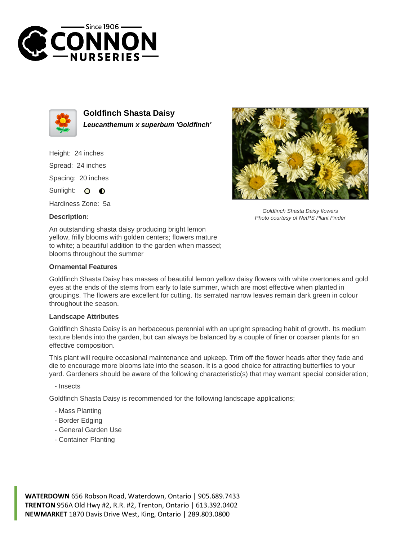



**Goldfinch Shasta Daisy Leucanthemum x superbum 'Goldfinch'**

Height: 24 inches Spread: 24 inches Spacing: 20 inches Sunlight: O  $\bullet$ 

Hardiness Zone: 5a

## **Description:**

An outstanding shasta daisy producing bright lemon yellow, frilly blooms with golden centers; flowers mature to white; a beautiful addition to the garden when massed; blooms throughout the summer

## **Ornamental Features**

Goldfinch Shasta Daisy has masses of beautiful lemon yellow daisy flowers with white overtones and gold eyes at the ends of the stems from early to late summer, which are most effective when planted in groupings. The flowers are excellent for cutting. Its serrated narrow leaves remain dark green in colour throughout the season.

## **Landscape Attributes**

Goldfinch Shasta Daisy is an herbaceous perennial with an upright spreading habit of growth. Its medium texture blends into the garden, but can always be balanced by a couple of finer or coarser plants for an effective composition.

This plant will require occasional maintenance and upkeep. Trim off the flower heads after they fade and die to encourage more blooms late into the season. It is a good choice for attracting butterflies to your yard. Gardeners should be aware of the following characteristic(s) that may warrant special consideration;

- Insects

Goldfinch Shasta Daisy is recommended for the following landscape applications;

- Mass Planting
- Border Edging
- General Garden Use
- Container Planting





Goldfinch Shasta Daisy flowers Photo courtesy of NetPS Plant Finder